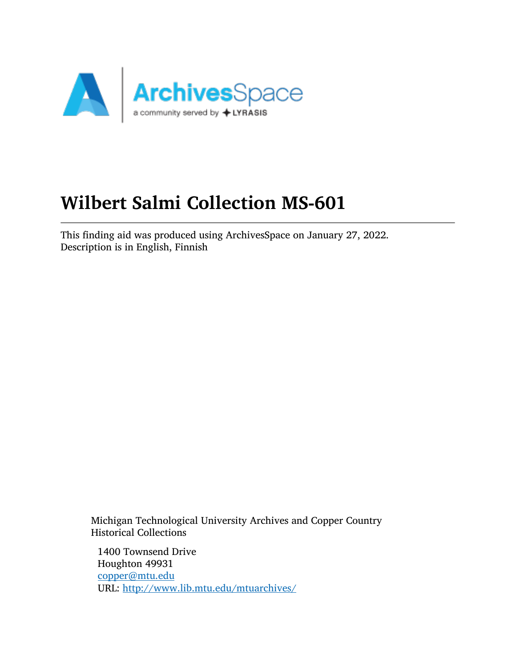

# Wilbert Salmi Collection MS-601

This finding aid was produced using ArchivesSpace on January 27, 2022. Description is in English, Finnish

Michigan Technological University Archives and Copper Country Historical Collections

1400 Townsend Drive Houghton 49931 [copper@mtu.edu](mailto:copper@mtu.edu) URL: <http://www.lib.mtu.edu/mtuarchives/>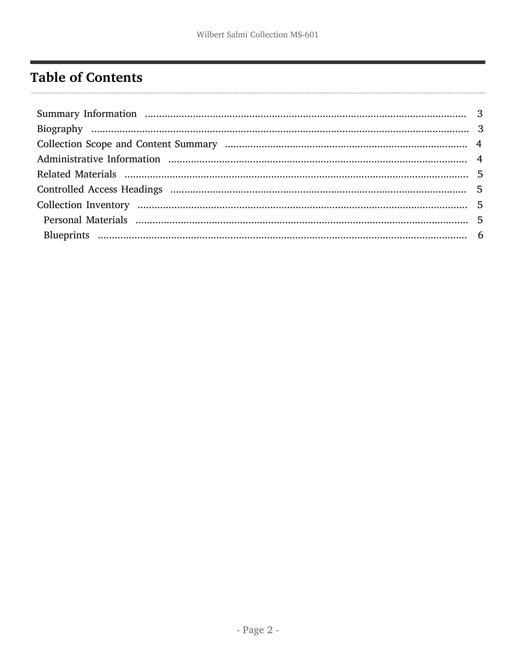## <span id="page-1-0"></span>**Table of Contents**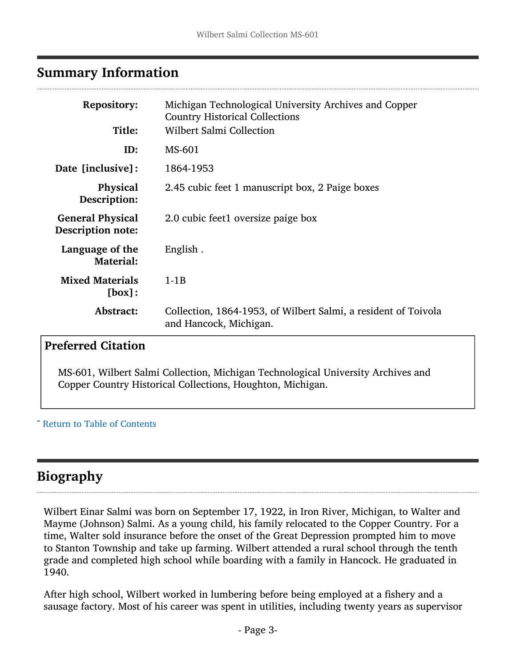### <span id="page-2-0"></span>Summary Information

| <b>Repository:</b><br>Title:                        | Michigan Technological University Archives and Copper<br><b>Country Historical Collections</b><br><b>Wilbert Salmi Collection</b> |
|-----------------------------------------------------|-----------------------------------------------------------------------------------------------------------------------------------|
| ID:                                                 | MS-601                                                                                                                            |
| Date [inclusive]:                                   | 1864-1953                                                                                                                         |
| <b>Physical</b><br>Description:                     | 2.45 cubic feet 1 manuscript box, 2 Paige boxes                                                                                   |
| <b>General Physical</b><br><b>Description note:</b> | 2.0 cubic feet1 oversize paige box                                                                                                |
| Language of the<br><b>Material:</b>                 | English.                                                                                                                          |
| <b>Mixed Materials</b><br>[box]:                    | $1-1B$                                                                                                                            |
| Abstract:                                           | Collection, 1864-1953, of Wilbert Salmi, a resident of Toivola<br>and Hancock, Michigan.                                          |

## Preferred Citation

MS-601, Wilbert Salmi Collection, Michigan Technological University Archives and Copper Country Historical Collections, Houghton, Michigan.

^ [Return to Table of Contents](#page-1-0)

## <span id="page-2-1"></span>Biography

Wilbert Einar Salmi was born on September 17, 1922, in Iron River, Michigan, to Walter and Mayme (Johnson) Salmi. As a young child, his family relocated to the Copper Country. For a time, Walter sold insurance before the onset of the Great Depression prompted him to move to Stanton Township and take up farming. Wilbert attended a rural school through the tenth grade and completed high school while boarding with a family in Hancock. He graduated in 1940.

After high school, Wilbert worked in lumbering before being employed at a fishery and a sausage factory. Most of his career was spent in utilities, including twenty years as supervisor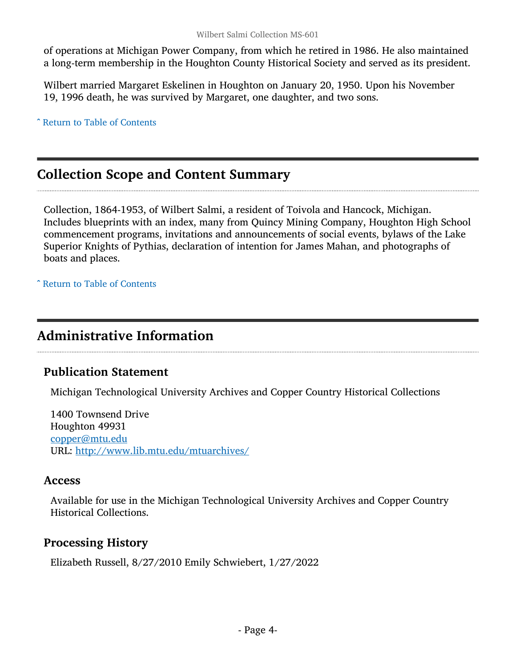of operations at Michigan Power Company, from which he retired in 1986. He also maintained a long-term membership in the Houghton County Historical Society and served as its president.

Wilbert married Margaret Eskelinen in Houghton on January 20, 1950. Upon his November 19, 1996 death, he was survived by Margaret, one daughter, and two sons.

^ [Return to Table of Contents](#page-1-0)

## <span id="page-3-0"></span>Collection Scope and Content Summary

Collection, 1864-1953, of Wilbert Salmi, a resident of Toivola and Hancock, Michigan. Includes blueprints with an index, many from Quincy Mining Company, Houghton High School commencement programs, invitations and announcements of social events, bylaws of the Lake Superior Knights of Pythias, declaration of intention for James Mahan, and photographs of boats and places.

^ [Return to Table of Contents](#page-1-0)

## <span id="page-3-1"></span>Administrative Information

#### Publication Statement

Michigan Technological University Archives and Copper Country Historical Collections

1400 Townsend Drive Houghton 49931 [copper@mtu.edu](mailto:copper@mtu.edu) URL: <http://www.lib.mtu.edu/mtuarchives/>

#### Access

Available for use in the Michigan Technological University Archives and Copper Country Historical Collections.

#### Processing History

Elizabeth Russell, 8/27/2010 Emily Schwiebert, 1/27/2022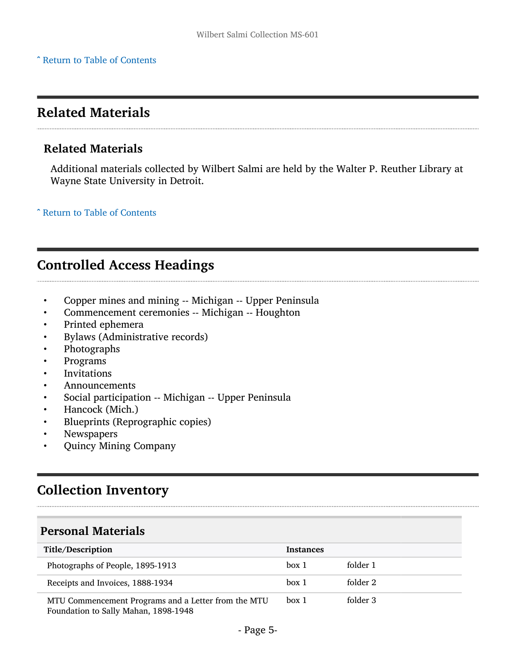## <span id="page-4-0"></span>Related Materials

#### Related Materials

Additional materials collected by Wilbert Salmi are held by the Walter P. Reuther Library at Wayne State University in Detroit.

^ [Return to Table of Contents](#page-1-0)

## <span id="page-4-1"></span>Controlled Access Headings

- Copper mines and mining -- Michigan -- Upper Peninsula
- Commencement ceremonies -- Michigan -- Houghton
- Printed ephemera
- Bylaws (Administrative records)
- Photographs
- Programs
- **Invitations**
- Announcements
- Social participation -- Michigan -- Upper Peninsula
- Hancock (Mich.)
- Blueprints (Reprographic copies)
- **Newspapers**
- Quincy Mining Company

## <span id="page-4-2"></span>Collection Inventory

#### <span id="page-4-3"></span>Personal Materials

| Title/Description                                                                           | <b>Instances</b> |          |
|---------------------------------------------------------------------------------------------|------------------|----------|
| Photographs of People, 1895-1913                                                            | box 1            | folder 1 |
| Receipts and Invoices, 1888-1934                                                            | box 1            | folder 2 |
| MTU Commencement Programs and a Letter from the MTU<br>Foundation to Sally Mahan, 1898-1948 | box 1            | folder 3 |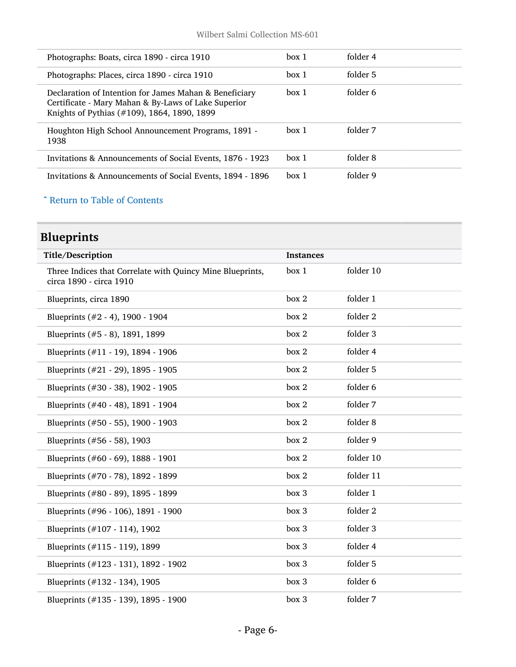| Photographs: Boats, circa 1890 - circa 1910                                                                                                                  | box 1 | folder 4 |
|--------------------------------------------------------------------------------------------------------------------------------------------------------------|-------|----------|
| Photographs: Places, circa 1890 - circa 1910                                                                                                                 | hox 1 | folder 5 |
| Declaration of Intention for James Mahan & Beneficiary<br>Certificate - Mary Mahan & By-Laws of Lake Superior<br>Knights of Pythias (#109), 1864, 1890, 1899 | hox 1 | folder 6 |
| Houghton High School Announcement Programs, 1891 -<br>1938                                                                                                   | box 1 | folder 7 |
| Invitations & Announcements of Social Events, 1876 - 1923                                                                                                    | box 1 | folder 8 |
| Invitations & Announcements of Social Events, 1894 - 1896                                                                                                    | box 1 | folder 9 |

#### ^ [Return to Table of Contents](#page-1-0)

## <span id="page-5-0"></span>Blueprints

| Title/Description                                                                    | <b>Instances</b> |           |
|--------------------------------------------------------------------------------------|------------------|-----------|
| Three Indices that Correlate with Quincy Mine Blueprints,<br>circa 1890 - circa 1910 | box 1            | folder 10 |
| Blueprints, circa 1890                                                               | box 2            | folder 1  |
| Blueprints $(\#2 - 4)$ , 1900 - 1904                                                 | box 2            | folder 2  |
| Blueprints (#5 - 8), 1891, 1899                                                      | box 2            | folder 3  |
| Blueprints (#11 - 19), 1894 - 1906                                                   | box 2            | folder 4  |
| Blueprints (#21 - 29), 1895 - 1905                                                   | box 2            | folder 5  |
| Blueprints (#30 - 38), 1902 - 1905                                                   | box 2            | folder 6  |
| Blueprints (#40 - 48), 1891 - 1904                                                   | box 2            | folder 7  |
| Blueprints (#50 - 55), 1900 - 1903                                                   | box 2            | folder 8  |
| Blueprints (#56 - 58), 1903                                                          | box 2            | folder 9  |
| Blueprints (#60 - 69), 1888 - 1901                                                   | box 2            | folder 10 |
| Blueprints (#70 - 78), 1892 - 1899                                                   | box 2            | folder 11 |
| Blueprints (#80 - 89), 1895 - 1899                                                   | box 3            | folder 1  |
| Blueprints (#96 - 106), 1891 - 1900                                                  | box 3            | folder 2  |
| Blueprints (#107 - 114), 1902                                                        | box 3            | folder 3  |
| Blueprints (#115 - 119), 1899                                                        | box 3            | folder 4  |
| Blueprints (#123 - 131), 1892 - 1902                                                 | box 3            | folder 5  |
| Blueprints (#132 - 134), 1905                                                        | box 3            | folder 6  |
| Blueprints (#135 - 139), 1895 - 1900                                                 | box 3            | folder 7  |